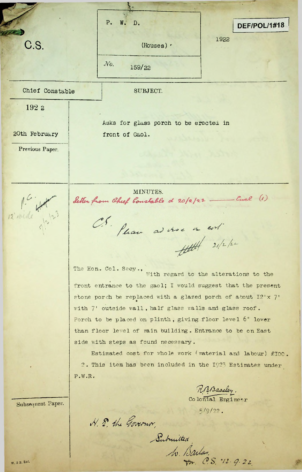**V** p. w. D.  $DEF/POL/1#18$ 1922 C.S. (Houses)  $\cdot$ *.No.* 159/22 Chief Constable SUBJECT. 192 2 Asks for glass porch to be erectea in 20th February | front of Gaol. Previous Paper. MINUTES. 12 wide 4 12 9 3 Letter from Chief Constable d 20/2/22 \_\_ Cucl (1) CS. Please advise a col  $400 + 202$ The Hon. Col. Secy., With regard to the alterations to thefront entrance to the gaol; I would suggest that the present stone porch be replaced with a glazed porch of about  $I2'x$  7' with 7' outside vall, half glass walls and glass roof. Porch to be placed on plinth, giving floor level 6" lower than floor level of main building. Entrance to be on East side with steps as found necessary. Estimated cost for whole work (material and labour) £100. <sup>2</sup> . This item has been included in the 1923 Estimates under P.W.R,

*RA Maseley.*<br>Colonial Engineer

*&*

i

5/9/22.

*y-fr, &S,*

Submitted

N. 8. the Governor.

Subsequent Paper.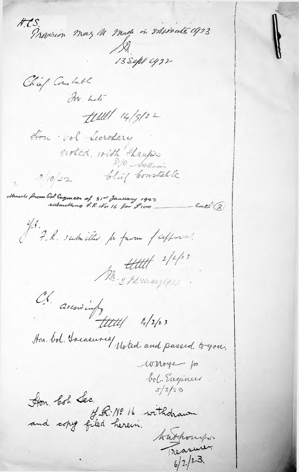H.C.S. Provision may 11 made in situmate 1923  $13$ Sept cys2 Chief Constable In hete  $t$ ull 14/5/22 Hon vol Secretary noted, with Hautos Chief Constable  $3/0/22$ Moule from Gol Engineer of 31st January 1923 Each (2 submilling P.R. No 16 for L100 J. P. R. subsides pr favour / cepperal. Da Shuayas Ch. accordingly to 12/23 Hon. bol. Incasured Moted and passed to you. winoyer for bol Engineer Hon bol Lec.<br>and copy filed herein. Authority. Treasurer  $6/2/23$ .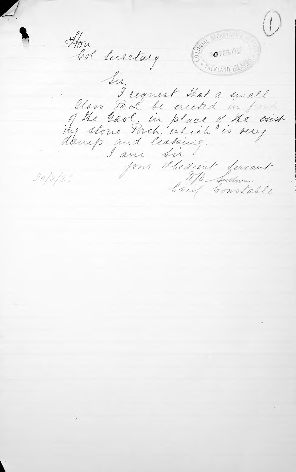$\left(\begin{smallmatrix}1\end{smallmatrix}\right)$ BECKELARY'S How **OFEBRE** Col. Secretary **FALKLAND IS** Sir, I request that a small Glass Porch be erected in for of the Gaol, in place of the exist.<br>The stone Porch, which is very I am Sir four Obedient ferrant 270 Sultanan  $20/2/2i$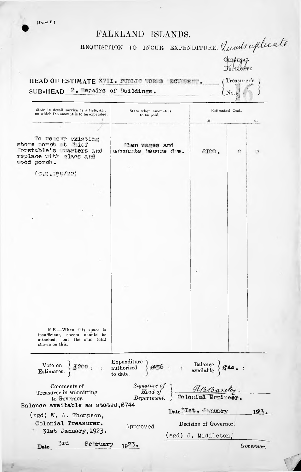(Form E.)

## FALKLAND ISLANDS.

## REQUISITION TO INCUR EXPENDITURE. Quadruplicate

ORIGINAL.<br>DUPLICATE

## HEAD OF ESTIMATE XVII. PUBLIC WORES ECUPRENT. (Treasurer's)  $\{N_0, \ldots, N_n\}$ SUB-HEAD 2, Bepairs of Buildings.

| State, in detail, service or article, &c.,<br>on which the amount is to be expended.      | State when amount is<br>to be paid.                                                                                                                                                                                                                                                                                                                                                      | Estimated Cost.       |           |
|-------------------------------------------------------------------------------------------|------------------------------------------------------------------------------------------------------------------------------------------------------------------------------------------------------------------------------------------------------------------------------------------------------------------------------------------------------------------------------------------|-----------------------|-----------|
|                                                                                           |                                                                                                                                                                                                                                                                                                                                                                                          | £<br>S.               | d.        |
| To retove existing                                                                        |                                                                                                                                                                                                                                                                                                                                                                                          |                       |           |
| stone porch at Thief<br>Tonstable's Quarters and<br>replace with glass and<br>vood porch. | Then wages and<br>accounts become de.                                                                                                                                                                                                                                                                                                                                                    | 200.<br>$\circ$       | O         |
| (0.9.159/22)                                                                              |                                                                                                                                                                                                                                                                                                                                                                                          |                       |           |
|                                                                                           |                                                                                                                                                                                                                                                                                                                                                                                          |                       |           |
|                                                                                           |                                                                                                                                                                                                                                                                                                                                                                                          |                       |           |
|                                                                                           |                                                                                                                                                                                                                                                                                                                                                                                          |                       |           |
|                                                                                           |                                                                                                                                                                                                                                                                                                                                                                                          |                       |           |
|                                                                                           |                                                                                                                                                                                                                                                                                                                                                                                          |                       |           |
|                                                                                           |                                                                                                                                                                                                                                                                                                                                                                                          |                       |           |
|                                                                                           |                                                                                                                                                                                                                                                                                                                                                                                          |                       |           |
|                                                                                           |                                                                                                                                                                                                                                                                                                                                                                                          |                       |           |
|                                                                                           |                                                                                                                                                                                                                                                                                                                                                                                          |                       |           |
|                                                                                           |                                                                                                                                                                                                                                                                                                                                                                                          |                       |           |
|                                                                                           |                                                                                                                                                                                                                                                                                                                                                                                          |                       |           |
|                                                                                           |                                                                                                                                                                                                                                                                                                                                                                                          |                       |           |
|                                                                                           |                                                                                                                                                                                                                                                                                                                                                                                          |                       |           |
|                                                                                           |                                                                                                                                                                                                                                                                                                                                                                                          |                       |           |
|                                                                                           |                                                                                                                                                                                                                                                                                                                                                                                          |                       |           |
|                                                                                           |                                                                                                                                                                                                                                                                                                                                                                                          |                       |           |
|                                                                                           |                                                                                                                                                                                                                                                                                                                                                                                          |                       |           |
| N.B.-When this space is<br>insufficient, sheets should be<br>attached, but the sum total  |                                                                                                                                                                                                                                                                                                                                                                                          |                       |           |
| shown on this.                                                                            |                                                                                                                                                                                                                                                                                                                                                                                          |                       |           |
|                                                                                           | $\begin{array}{ccc}\n\text{Vote on} & \left. \right\}\n\textit{A2CO} : & \left. \right. & \left. \right. & \text{Expenditure} \\ \text{Estimates.} & \left. \right\}\n\textit{A2CO} : & \left. \right. & \text{authorizontal} \\ \text{to date.} & \left. \right\}\n\textit{A456} : & \left. \right. & \text{Balance} \\ \text{available.} & \left. \right\}\n\textit{A44.} \end{array}$ |                       |           |
| Comments of<br>Treasurer in submitting                                                    | Signature of HAB aoeley.<br>Department. Colonial Erricer.                                                                                                                                                                                                                                                                                                                                |                       |           |
| to Governor.                                                                              |                                                                                                                                                                                                                                                                                                                                                                                          |                       |           |
| Balance avaibable as stated, £744                                                         |                                                                                                                                                                                                                                                                                                                                                                                          |                       |           |
| $(sgd)$ W. A. Thompson.                                                                   |                                                                                                                                                                                                                                                                                                                                                                                          | Date 31st. January    | 193.      |
| Colonial Treasurer.                                                                       | Approved                                                                                                                                                                                                                                                                                                                                                                                 | Decision of Governor. |           |
| 31st January, 1923.                                                                       |                                                                                                                                                                                                                                                                                                                                                                                          |                       |           |
|                                                                                           |                                                                                                                                                                                                                                                                                                                                                                                          | (sgd) J. Middleton,   |           |
| 3rd February $19^{27}$ .<br>$\textbf{Date}$                                               |                                                                                                                                                                                                                                                                                                                                                                                          |                       | Governor. |